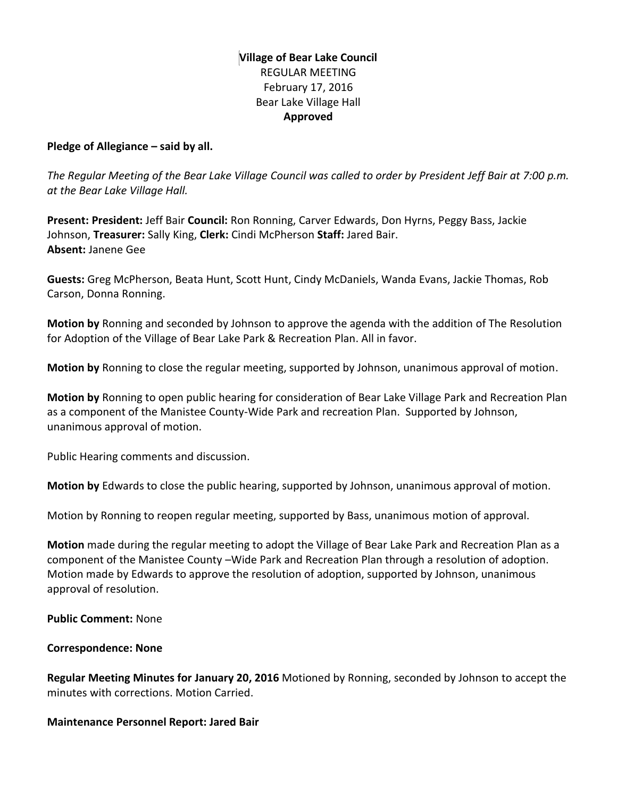## **Village of Bear Lake Council** REGULAR MEETING February 17, 2016 Bear Lake Village Hall **Approved**

#### **Pledge of Allegiance – said by all.**

*The Regular Meeting of the Bear Lake Village Council was called to order by President Jeff Bair at 7:00 p.m. at the Bear Lake Village Hall.*

**Present: President:** Jeff Bair **Council:** Ron Ronning, Carver Edwards, Don Hyrns, Peggy Bass, Jackie Johnson, **Treasurer:** Sally King, **Clerk:** Cindi McPherson **Staff:** Jared Bair. **Absent:** Janene Gee

**Guests:** Greg McPherson, Beata Hunt, Scott Hunt, Cindy McDaniels, Wanda Evans, Jackie Thomas, Rob Carson, Donna Ronning.

**Motion by** Ronning and seconded by Johnson to approve the agenda with the addition of The Resolution for Adoption of the Village of Bear Lake Park & Recreation Plan. All in favor.

**Motion by** Ronning to close the regular meeting, supported by Johnson, unanimous approval of motion.

**Motion by** Ronning to open public hearing for consideration of Bear Lake Village Park and Recreation Plan as a component of the Manistee County-Wide Park and recreation Plan. Supported by Johnson, unanimous approval of motion.

Public Hearing comments and discussion.

**Motion by** Edwards to close the public hearing, supported by Johnson, unanimous approval of motion.

Motion by Ronning to reopen regular meeting, supported by Bass, unanimous motion of approval.

**Motion** made during the regular meeting to adopt the Village of Bear Lake Park and Recreation Plan as a component of the Manistee County –Wide Park and Recreation Plan through a resolution of adoption. Motion made by Edwards to approve the resolution of adoption, supported by Johnson, unanimous approval of resolution.

**Public Comment:** None

#### **Correspondence: None**

**Regular Meeting Minutes for January 20, 2016** Motioned by Ronning, seconded by Johnson to accept the minutes with corrections. Motion Carried.

#### **Maintenance Personnel Report: Jared Bair**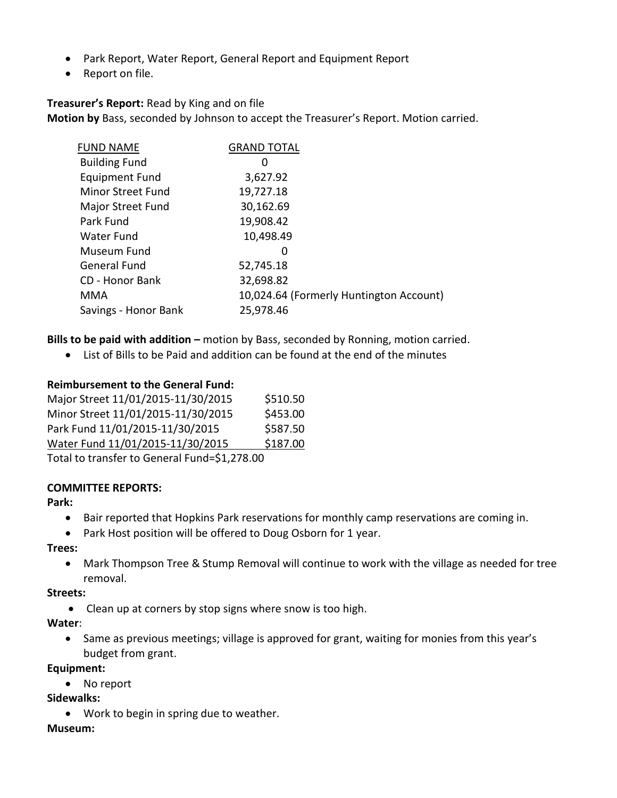- Park Report, Water Report, General Report and Equipment Report
- Report on file.

### **Treasurer's Report:** Read by King and on file

**Motion by** Bass, seconded by Johnson to accept the Treasurer's Report. Motion carried.

| <b>FUND NAME</b>      | <b>GRAND TOTAL</b>                      |
|-----------------------|-----------------------------------------|
| <b>Building Fund</b>  | 0                                       |
| <b>Equipment Fund</b> | 3,627.92                                |
| Minor Street Fund     | 19,727.18                               |
| Major Street Fund     | 30,162.69                               |
| Park Fund             | 19,908.42                               |
| Water Fund            | 10,498.49                               |
| Museum Fund           | O                                       |
| <b>General Fund</b>   | 52,745.18                               |
| CD - Honor Bank       | 32,698.82                               |
| MMA                   | 10,024.64 (Formerly Huntington Account) |
| Savings - Honor Bank  | 25,978.46                               |
|                       |                                         |

**Bills to be paid with addition –** motion by Bass, seconded by Ronning, motion carried.

List of Bills to be Paid and addition can be found at the end of the minutes

### **Reimbursement to the General Fund:**

| Major Street 11/01/2015-11/30/2015 | \$510.50 |
|------------------------------------|----------|
| Minor Street 11/01/2015-11/30/2015 | \$453.00 |
| Park Fund 11/01/2015-11/30/2015    | \$587.50 |
| Water Fund 11/01/2015-11/30/2015   | \$187.00 |
|                                    |          |

Total to transfer to General Fund=\$1,278.00

### **COMMITTEE REPORTS:**

**Park:** 

- Bair reported that Hopkins Park reservations for monthly camp reservations are coming in.
- Park Host position will be offered to Doug Osborn for 1 year.

**Trees:** 

 Mark Thompson Tree & Stump Removal will continue to work with the village as needed for tree removal.

**Streets:**

• Clean up at corners by stop signs where snow is too high.

**Water**:

• Same as previous meetings; village is approved for grant, waiting for monies from this year's budget from grant.

**Equipment:**

• No report

**Sidewalks:** 

Work to begin in spring due to weather.

### **Museum:**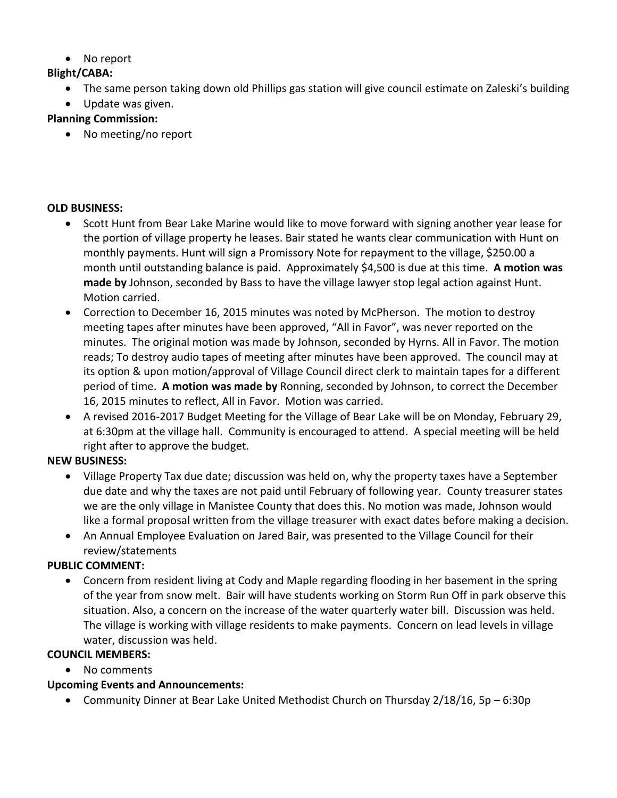No report

# **Blight/CABA:**

- The same person taking down old Phillips gas station will give council estimate on Zaleski's building
- Update was given.

## **Planning Commission:**

• No meeting/no report

## **OLD BUSINESS:**

- Scott Hunt from Bear Lake Marine would like to move forward with signing another year lease for the portion of village property he leases. Bair stated he wants clear communication with Hunt on monthly payments. Hunt will sign a Promissory Note for repayment to the village, \$250.00 a month until outstanding balance is paid. Approximately \$4,500 is due at this time. **A motion was made by** Johnson, seconded by Bass to have the village lawyer stop legal action against Hunt. Motion carried.
- Correction to December 16, 2015 minutes was noted by McPherson. The motion to destroy meeting tapes after minutes have been approved, "All in Favor", was never reported on the minutes. The original motion was made by Johnson, seconded by Hyrns. All in Favor. The motion reads; To destroy audio tapes of meeting after minutes have been approved. The council may at its option & upon motion/approval of Village Council direct clerk to maintain tapes for a different period of time. **A motion was made by** Ronning, seconded by Johnson, to correct the December 16, 2015 minutes to reflect, All in Favor. Motion was carried.
- A revised 2016-2017 Budget Meeting for the Village of Bear Lake will be on Monday, February 29, at 6:30pm at the village hall. Community is encouraged to attend. A special meeting will be held right after to approve the budget.

## **NEW BUSINESS:**

- Village Property Tax due date; discussion was held on, why the property taxes have a September due date and why the taxes are not paid until February of following year. County treasurer states we are the only village in Manistee County that does this. No motion was made, Johnson would like a formal proposal written from the village treasurer with exact dates before making a decision.
- An Annual Employee Evaluation on Jared Bair, was presented to the Village Council for their review/statements

## **PUBLIC COMMENT:**

 Concern from resident living at Cody and Maple regarding flooding in her basement in the spring of the year from snow melt. Bair will have students working on Storm Run Off in park observe this situation. Also, a concern on the increase of the water quarterly water bill. Discussion was held. The village is working with village residents to make payments. Concern on lead levels in village water, discussion was held.

### **COUNCIL MEMBERS:**

• No comments

## **Upcoming Events and Announcements:**

Community Dinner at Bear Lake United Methodist Church on Thursday 2/18/16, 5p – 6:30p